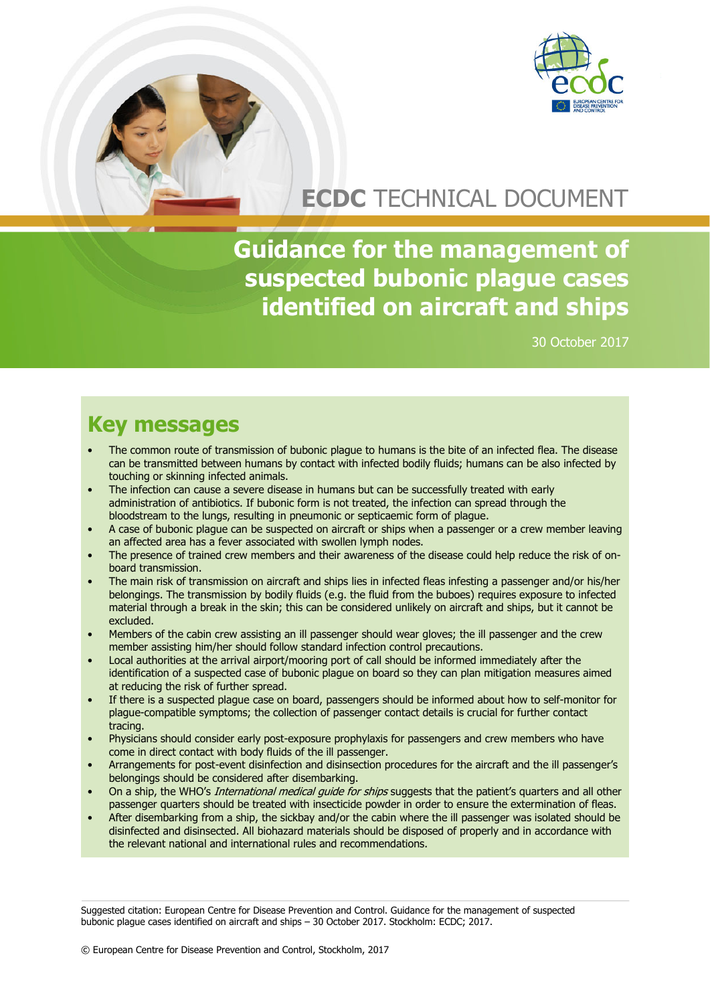

# **ECDC** TECHNICAL DOCUMENT

**Guidance for the management of suspected bubonic plague cases identified on aircraft and ships**

30 October 2017

# **Key messages**

- The common route of transmission of bubonic plague to humans is the bite of an infected flea. The disease can be transmitted between humans by contact with infected bodily fluids; humans can be also infected by touching or skinning infected animals.
- The infection can cause a severe disease in humans but can be successfully treated with early administration of antibiotics. If bubonic form is not treated, the infection can spread through the bloodstream to the lungs, resulting in pneumonic or septicaemic form of plague.
- A case of bubonic plague can be suspected on aircraft or ships when a passenger or a crew member leaving an affected area has a fever associated with swollen lymph nodes.
- The presence of trained crew members and their awareness of the disease could help reduce the risk of onboard transmission.
- The main risk of transmission on aircraft and ships lies in infected fleas infesting a passenger and/or his/her belongings. The transmission by bodily fluids (e.g. the fluid from the buboes) requires exposure to infected material through a break in the skin; this can be considered unlikely on aircraft and ships, but it cannot be excluded.
- Members of the cabin crew assisting an ill passenger should wear gloves; the ill passenger and the crew member assisting him/her should follow standard infection control precautions.
- Local authorities at the arrival airport/mooring port of call should be informed immediately after the identification of a suspected case of bubonic plague on board so they can plan mitigation measures aimed at reducing the risk of further spread.
- If there is a suspected plague case on board, passengers should be informed about how to self-monitor for plague-compatible symptoms; the collection of passenger contact details is crucial for further contact tracing.
- Physicians should consider early post-exposure prophylaxis for passengers and crew members who have come in direct contact with body fluids of the ill passenger.
- Arrangements for post-event disinfection and disinsection procedures for the aircraft and the ill passenger's belongings should be considered after disembarking.
- On a ship, the WHO's *International medical guide for ships* suggests that the patient's quarters and all other passenger quarters should be treated with insecticide powder in order to ensure the extermination of fleas.
- After disembarking from a ship, the sickbay and/or the cabin where the ill passenger was isolated should be disinfected and disinsected. All biohazard materials should be disposed of properly and in accordance with the relevant national and international rules and recommendations.

Suggested citation: European Centre for Disease Prevention and Control. Guidance for the management of suspected bubonic plague cases identified on aircraft and ships – 30 October 2017. Stockholm: ECDC; 2017.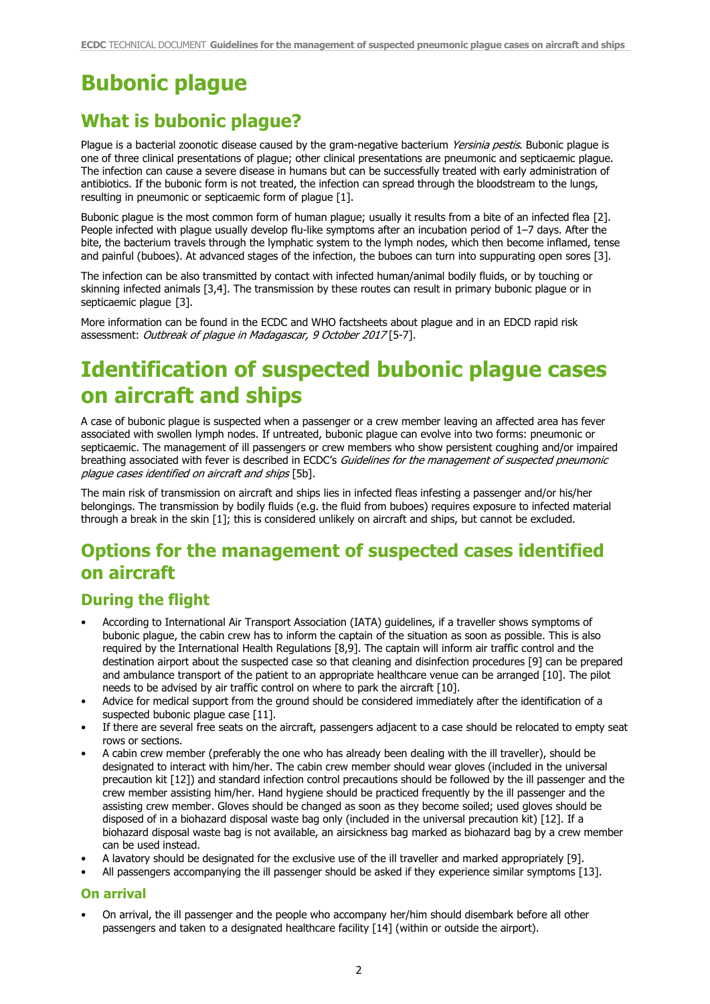# **Bubonic plague**

## **What is bubonic plague?**

Plague is a bacterial zoonotic disease caused by the gram-negative bacterium Yersinia pestis. Bubonic plague is one of three clinical presentations of plague; other clinical presentations are pneumonic and septicaemic plague. The infection can cause a severe disease in humans but can be successfully treated with early administration of antibiotics. If the bubonic form is not treated, the infection can spread through the bloodstream to the lungs, resulting in pneumonic or septicaemic form of plague [1].

Bubonic plague is the most common form of human plague; usually it results from a bite of an infected flea [2]. People infected with plague usually develop flu-like symptoms after an incubation period of 1–7 days. After the bite, the bacterium travels through the lymphatic system to the lymph nodes, which then become inflamed, tense and painful (buboes). At advanced stages of the infection, the buboes can turn into suppurating open sores [3].

The infection can be also transmitted by contact with infected human/animal bodily fluids, or by touching or skinning infected animals [3,4]. The transmission by these routes can result in primary bubonic plague or in septicaemic plaque [3].

More information can be found in the ECDC and WHO factsheets about plague and in an EDCD rapid risk assessment: Outbreak of plague in Madagascar, 9 October 2017 [5-7].

# **Identification of suspected bubonic plague cases on aircraft and ships**

A case of bubonic plague is suspected when a passenger or a crew member leaving an affected area has fever associated with swollen lymph nodes. If untreated, bubonic plague can evolve into two forms: pneumonic or septicaemic. The management of ill passengers or crew members who show persistent coughing and/or impaired breathing associated with fever is described in ECDC's Guidelines for the management of suspected pneumonic plague cases identified on aircraft and ships [5b].

The main risk of transmission on aircraft and ships lies in infected fleas infesting a passenger and/or his/her belongings. The transmission by bodily fluids (e.g. the fluid from buboes) requires exposure to infected material through a break in the skin [1]; this is considered unlikely on aircraft and ships, but cannot be excluded.

## **Options for the management of suspected cases identified on aircraft**

### **During the flight**

- According to International Air Transport Association (IATA) guidelines, if a traveller shows symptoms of bubonic plague, the cabin crew has to inform the captain of the situation as soon as possible. This is also required by the International Health Regulations [8,9]. The captain will inform air traffic control and the destination airport about the suspected case so that cleaning and disinfection procedures [9] can be prepared and ambulance transport of the patient to an appropriate healthcare venue can be arranged [10]. The pilot needs to be advised by air traffic control on where to park the aircraft [10].
- Advice for medical support from the ground should be considered immediately after the identification of a suspected bubonic plaque case [11].
- If there are several free seats on the aircraft, passengers adjacent to a case should be relocated to empty seat rows or sections.
- A cabin crew member (preferably the one who has already been dealing with the ill traveller), should be designated to interact with him/her. The cabin crew member should wear gloves (included in the universal precaution kit [12]) and standard infection control precautions should be followed by the ill passenger and the crew member assisting him/her. Hand hygiene should be practiced frequently by the ill passenger and the assisting crew member. Gloves should be changed as soon as they become soiled; used gloves should be disposed of in a biohazard disposal waste bag only (included in the universal precaution kit) [12]. If a biohazard disposal waste bag is not available, an airsickness bag marked as biohazard bag by a crew member can be used instead.
- A lavatory should be designated for the exclusive use of the ill traveller and marked appropriately [9].
- All passengers accompanying the ill passenger should be asked if they experience similar symptoms [13].

#### **On arrival**

• On arrival, the ill passenger and the people who accompany her/him should disembark before all other passengers and taken to a designated healthcare facility [14] (within or outside the airport).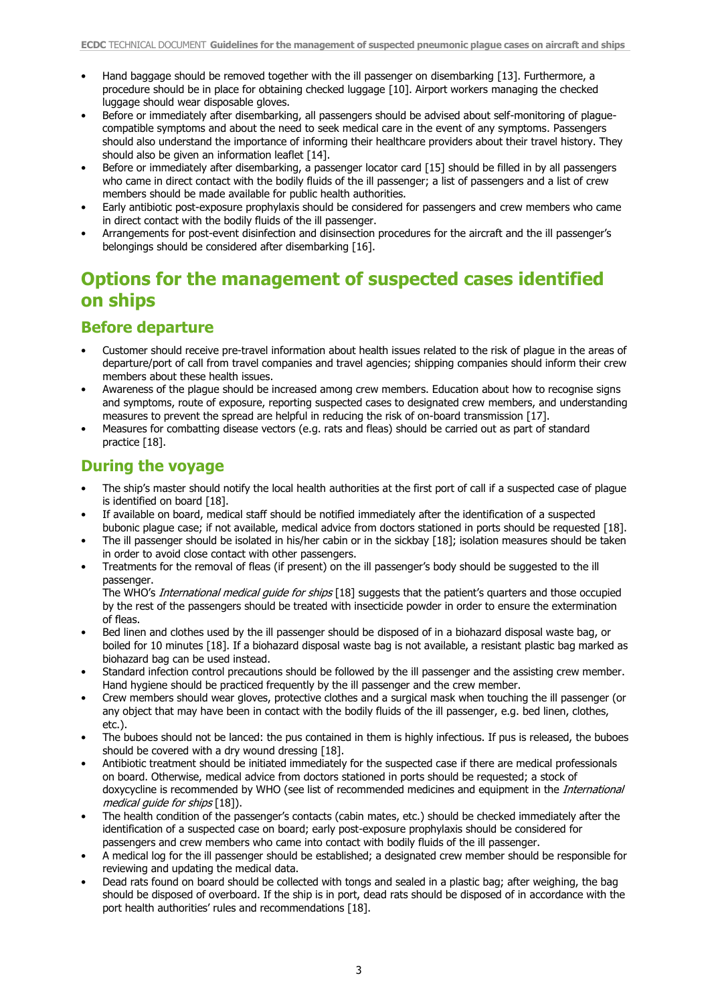- Hand baggage should be removed together with the ill passenger on disembarking [13]. Furthermore, a procedure should be in place for obtaining checked luggage [10]. Airport workers managing the checked luggage should wear disposable gloves.
- Before or immediately after disembarking, all passengers should be advised about self-monitoring of plaguecompatible symptoms and about the need to seek medical care in the event of any symptoms. Passengers should also understand the importance of informing their healthcare providers about their travel history. They should also be given an information leaflet [14].
- Before or immediately after disembarking, a passenger locator card [15] should be filled in by all passengers who came in direct contact with the bodily fluids of the ill passenger; a list of passengers and a list of crew members should be made available for public health authorities.
- Early antibiotic post-exposure prophylaxis should be considered for passengers and crew members who came in direct contact with the bodily fluids of the ill passenger.
- Arrangements for post-event disinfection and disinsection procedures for the aircraft and the ill passenger's belongings should be considered after disembarking [16].

## **Options for the management of suspected cases identified on ships**

### **Before departure**

- Customer should receive pre-travel information about health issues related to the risk of plague in the areas of departure/port of call from travel companies and travel agencies; shipping companies should inform their crew members about these health issues.
- Awareness of the plague should be increased among crew members. Education about how to recognise signs and symptoms, route of exposure, reporting suspected cases to designated crew members, and understanding measures to prevent the spread are helpful in reducing the risk of on-board transmission [17].
- Measures for combatting disease vectors (e.g. rats and fleas) should be carried out as part of standard practice [18].

### **During the voyage**

- The ship's master should notify the local health authorities at the first port of call if a suspected case of plague is identified on board [18].
- If available on board, medical staff should be notified immediately after the identification of a suspected bubonic plague case; if not available, medical advice from doctors stationed in ports should be requested [18].
- The ill passenger should be isolated in his/her cabin or in the sickbay [18]; isolation measures should be taken in order to avoid close contact with other passengers.
- Treatments for the removal of fleas (if present) on the ill passenger's body should be suggested to the ill passenger.

The WHO's International medical guide for ships [18] suggests that the patient's quarters and those occupied by the rest of the passengers should be treated with insecticide powder in order to ensure the extermination of fleas.

- Bed linen and clothes used by the ill passenger should be disposed of in a biohazard disposal waste bag, or boiled for 10 minutes [18]. If a biohazard disposal waste bag is not available, a resistant plastic bag marked as biohazard bag can be used instead.
- Standard infection control precautions should be followed by the ill passenger and the assisting crew member. Hand hygiene should be practiced frequently by the ill passenger and the crew member.
- Crew members should wear gloves, protective clothes and a surgical mask when touching the ill passenger (or any object that may have been in contact with the bodily fluids of the ill passenger, e.g. bed linen, clothes, etc.).
- The buboes should not be lanced: the pus contained in them is highly infectious. If pus is released, the buboes should be covered with a dry wound dressing [18].
- Antibiotic treatment should be initiated immediately for the suspected case if there are medical professionals on board. Otherwise, medical advice from doctors stationed in ports should be requested; a stock of doxycycline is recommended by WHO (see list of recommended medicines and equipment in the *International* medical guide for ships [18]).
- The health condition of the passenger's contacts (cabin mates, etc.) should be checked immediately after the identification of a suspected case on board; early post-exposure prophylaxis should be considered for passengers and crew members who came into contact with bodily fluids of the ill passenger.
- A medical log for the ill passenger should be established; a designated crew member should be responsible for reviewing and updating the medical data.
- Dead rats found on board should be collected with tongs and sealed in a plastic bag; after weighing, the bag should be disposed of overboard. If the ship is in port, dead rats should be disposed of in accordance with the port health authorities' rules and recommendations [18].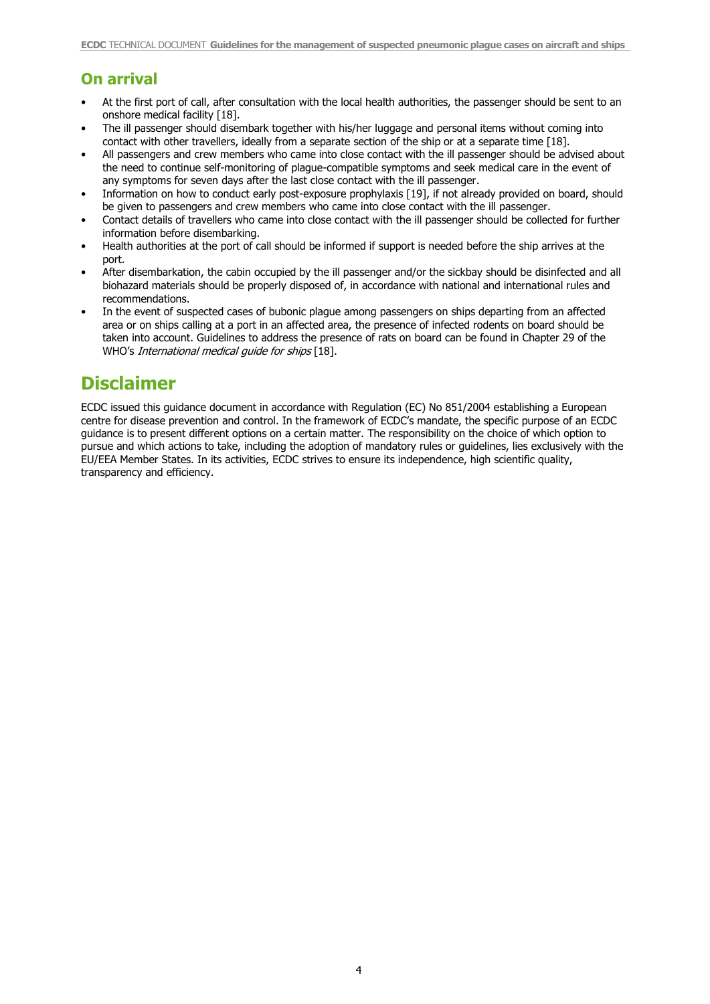### **On arrival**

- At the first port of call, after consultation with the local health authorities, the passenger should be sent to an onshore medical facility [18].
- The ill passenger should disembark together with his/her luggage and personal items without coming into contact with other travellers, ideally from a separate section of the ship or at a separate time [18].
- All passengers and crew members who came into close contact with the ill passenger should be advised about the need to continue self-monitoring of plague-compatible symptoms and seek medical care in the event of any symptoms for seven days after the last close contact with the ill passenger.
- Information on how to conduct early post-exposure prophylaxis [19], if not already provided on board, should be given to passengers and crew members who came into close contact with the ill passenger.
- Contact details of travellers who came into close contact with the ill passenger should be collected for further information before disembarking.
- Health authorities at the port of call should be informed if support is needed before the ship arrives at the port.
- After disembarkation, the cabin occupied by the ill passenger and/or the sickbay should be disinfected and all biohazard materials should be properly disposed of, in accordance with national and international rules and recommendations.
- In the event of suspected cases of bubonic plague among passengers on ships departing from an affected area or on ships calling at a port in an affected area, the presence of infected rodents on board should be taken into account. Guidelines to address the presence of rats on board can be found in Chapter 29 of the WHO's International medical quide for ships [18].

## **Disclaimer**

ECDC issued this guidance document in accordance with Regulation (EC) No 851/2004 establishing a European centre for disease prevention and control. In the framework of ECDC's mandate, the specific purpose of an ECDC guidance is to present different options on a certain matter. The responsibility on the choice of which option to pursue and which actions to take, including the adoption of mandatory rules or guidelines, lies exclusively with the EU/EEA Member States. In its activities, ECDC strives to ensure its independence, high scientific quality, transparency and efficiency.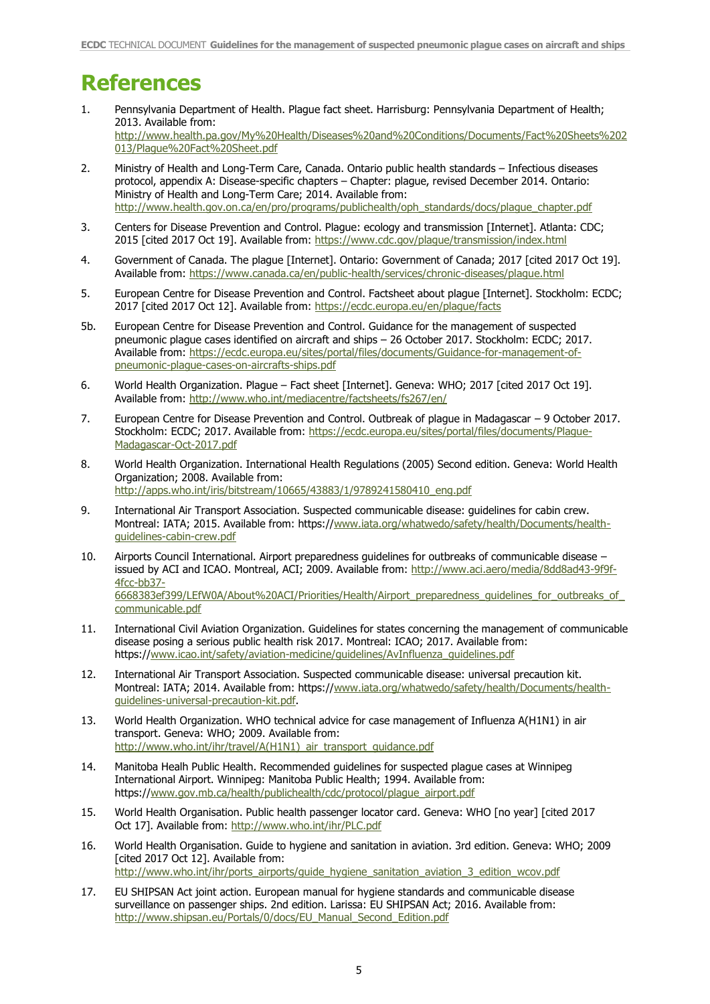# **References**

- 1. Pennsylvania Department of Health. Plague fact sheet. Harrisburg: Pennsylvania Department of Health; 2013. Available from: [http://www.health.pa.gov/My%20Health/Diseases%20and%20Conditions/Documents/Fact%20Sheets%202](http://www.health.pa.gov/My%20Health/Diseases%20and%20Conditions/Documents/Fact%20Sheets%202013/Plague%20Fact%20Sheet.pdf) [013/Plague%20Fact%20Sheet.pdf](http://www.health.pa.gov/My%20Health/Diseases%20and%20Conditions/Documents/Fact%20Sheets%202013/Plague%20Fact%20Sheet.pdf)
- 2. Ministry of Health and Long-Term Care, Canada. Ontario public health standards Infectious diseases protocol, appendix A: Disease-specific chapters – Chapter: plague, revised December 2014. Ontario: Ministry of Health and Long-Term Care; 2014. Available from: [http://www.health.gov.on.ca/en/pro/programs/publichealth/oph\\_standards/docs/plague\\_chapter.pdf](http://www.health.gov.on.ca/en/pro/programs/publichealth/oph_standards/docs/plague_chapter.pdf)
- 3. Centers for Disease Prevention and Control. Plague: ecology and transmission [Internet]. Atlanta: CDC; 2015 [cited 2017 Oct 19]. Available from: <https://www.cdc.gov/plague/transmission/index.html>
- 4. Government of Canada. The plague [Internet]. Ontario: Government of Canada; 2017 [cited 2017 Oct 19]. Available from: https://www.canada.ca/en/public-health/services/chronic-diseases/plague.html
- 5. European Centre for Disease Prevention and Control. Factsheet about plague [Internet]. Stockholm: ECDC; 2017 [cited 2017 Oct 12]. Available from:<https://ecdc.europa.eu/en/plague/facts>
- 5b. European Centre for Disease Prevention and Control. Guidance for the management of suspected pneumonic plague cases identified on aircraft and ships – 26 October 2017. Stockholm: ECDC; 2017. Available from: [https://ecdc.europa.eu/sites/portal/files/documents/Guidance-for-management-of](https://ecdc.europa.eu/sites/portal/files/documents/Guidance-for-management-of-pneumonic-plague-cases-on-aircrafts-ships.pdf)[pneumonic-plague-cases-on-aircrafts-ships.pdf](https://ecdc.europa.eu/sites/portal/files/documents/Guidance-for-management-of-pneumonic-plague-cases-on-aircrafts-ships.pdf)
- 6. World Health Organization. Plague Fact sheet [Internet]. Geneva: WHO; 2017 [cited 2017 Oct 19]. Available from:<http://www.who.int/mediacentre/factsheets/fs267/en/>
- 7. European Centre for Disease Prevention and Control. Outbreak of plague in Madagascar 9 October 2017. Stockholm: ECDC; 2017. Available from: [https://ecdc.europa.eu/sites/portal/files/documents/Plague-](https://ecdc.europa.eu/sites/portal/files/documents/Plague-Madagascar-Oct-2017.pdf)[Madagascar-Oct-2017.pdf](https://ecdc.europa.eu/sites/portal/files/documents/Plague-Madagascar-Oct-2017.pdf)
- 8. World Health Organization. International Health Regulations (2005) Second edition. Geneva: World Health Organization; 2008. Available from: [http://apps.who.int/iris/bitstream/10665/43883/1/9789241580410\\_eng.pdf](http://apps.who.int/iris/bitstream/10665/43883/1/9789241580410_eng.pdf)
- 9. International Air Transport Association. Suspected communicable disease: guidelines for cabin crew. Montreal: IATA; 2015. Available from: https:/[/www.iata.org/whatwedo/safety/health/Documents/health](http://www.iata.org/whatwedo/safety/health/Documents/health-guidelines-cabin-crew.pdf)[guidelines-cabin-crew.pdf](http://www.iata.org/whatwedo/safety/health/Documents/health-guidelines-cabin-crew.pdf)
- 10. Airports Council International. Airport preparedness guidelines for outbreaks of communicable disease issued by ACI and ICAO. Montreal, ACI; 2009. Available from: [http://www.aci.aero/media/8dd8ad43-9f9f-](http://www.aci.aero/media/8dd8ad43-9f9f-4fcc-bb37-6668383ef399/LEfW0A/About%20ACI/Priorities/Health/Airport_preparedness_guidelines_for_outbreaks_of_communicable.pdf)[4fcc-bb37-](http://www.aci.aero/media/8dd8ad43-9f9f-4fcc-bb37-6668383ef399/LEfW0A/About%20ACI/Priorities/Health/Airport_preparedness_guidelines_for_outbreaks_of_communicable.pdf) [6668383ef399/LEfW0A/About%20ACI/Priorities/Health/Airport\\_preparedness\\_guidelines\\_for\\_outbreaks\\_of\\_](http://www.aci.aero/media/8dd8ad43-9f9f-4fcc-bb37-6668383ef399/LEfW0A/About%20ACI/Priorities/Health/Airport_preparedness_guidelines_for_outbreaks_of_communicable.pdf) [communicable.pdf](http://www.aci.aero/media/8dd8ad43-9f9f-4fcc-bb37-6668383ef399/LEfW0A/About%20ACI/Priorities/Health/Airport_preparedness_guidelines_for_outbreaks_of_communicable.pdf)
- 11. International Civil Aviation Organization. Guidelines for states concerning the management of communicable disease posing a serious public health risk 2017. Montreal: ICAO; 2017. Available from: https://www.icao.int/safety/aviation-medicine/guidelines/AvInfluenza quidelines.pdf
- 12. International Air Transport Association. Suspected communicable disease: universal precaution kit. Montreal: IATA; 2014. Available from: https:/[/www.iata.org/whatwedo/safety/health/Documents/health](http://www.iata.org/whatwedo/safety/health/Documents/health-guidelines-universal-precaution-kit.pdf)[guidelines-universal-precaution-kit.pdf.](http://www.iata.org/whatwedo/safety/health/Documents/health-guidelines-universal-precaution-kit.pdf)
- 13. World Health Organization. WHO technical advice for case management of Influenza A(H1N1) in air transport. Geneva: WHO; 2009. Available from: http://www.who.int/ihr/travel/A(H1N1) air\_transport\_quidance.pdf
- 14. Manitoba Healh Public Health. Recommended guidelines for suspected plague cases at Winnipeg International Airport. Winnipeg: Manitoba Public Health; 1994. Available from: https:/[/www.gov.mb.ca/health/publichealth/cdc/protocol/plague\\_airport.pdf](http://www.gov.mb.ca/health/publichealth/cdc/protocol/plague_airport.pdf)
- 15. World Health Organisation. Public health passenger locator card. Geneva: WHO [no year] [cited 2017 Oct 17]. Available from:<http://www.who.int/ihr/PLC.pdf>
- 16. World Health Organisation. Guide to hygiene and sanitation in aviation. 3rd edition. Geneva: WHO; 2009 [cited 2017 Oct 12]. Available from: http://www.who.int/ihr/ports\_airports/quide\_hygiene\_sanitation\_aviation\_3\_edition\_wcov.pdf
- 17. EU SHIPSAN Act joint action. European manual for hygiene standards and communicable disease surveillance on passenger ships. 2nd edition. Larissa: EU SHIPSAN Act; 2016. Available from: [http://www.shipsan.eu/Portals/0/docs/EU\\_Manual\\_Second\\_Edition.pdf](http://www.shipsan.eu/Portals/0/docs/EU_Manual_Second_Edition.pdf)